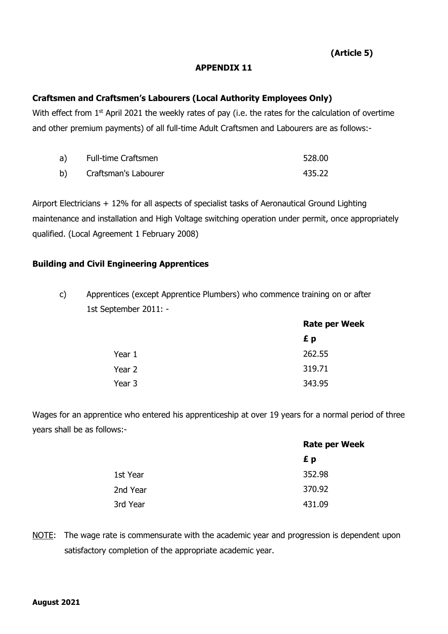**(Article 5)**

## **APPENDIX 11**

## **Craftsmen and Craftsmen's Labourers (Local Authority Employees Only)**

With effect from  $1^\text{st}$  April 2021 the weekly rates of pay (i.e. the rates for the calculation of overtime and other premium payments) of all full-time Adult Craftsmen and Labourers are as follows:-

| a) - | <b>Full-time Craftsmen</b> | 528.00 |
|------|----------------------------|--------|
| b)   | Craftsman's Labourer       | 435.22 |

Airport Electricians + 12% for all aspects of specialist tasks of Aeronautical Ground Lighting maintenance and installation and High Voltage switching operation under permit, once appropriately qualified. (Local Agreement 1 February 2008)

## **Building and Civil Engineering Apprentices**

c) Apprentices (except Apprentice Plumbers) who commence training on or after 1st September 2011: -

|        | <b>Rate per Week</b> |
|--------|----------------------|
|        | £ p                  |
| Year 1 | 262.55               |
| Year 2 | 319.71               |
| Year 3 | 343.95               |

Wages for an apprentice who entered his apprenticeship at over 19 years for a normal period of three years shall be as follows:-

|          | <b>Rate per Week</b> |  |
|----------|----------------------|--|
|          | £ p                  |  |
| 1st Year | 352.98               |  |
| 2nd Year | 370.92               |  |
| 3rd Year | 431.09               |  |

NOTE: The wage rate is commensurate with the academic year and progression is dependent upon satisfactory completion of the appropriate academic year.